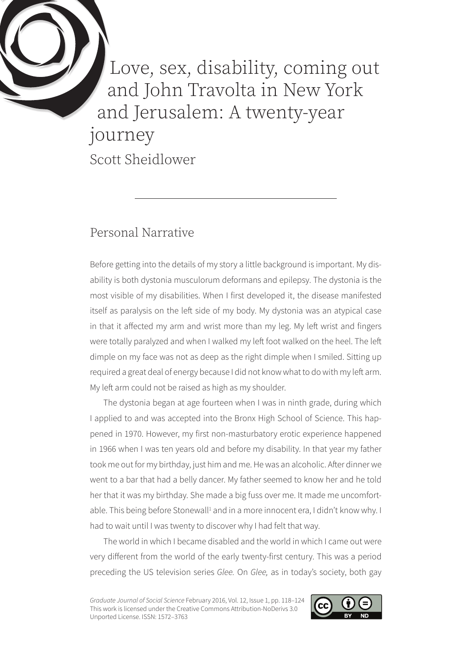Love, sex, disability, coming out and John Travolta in New York and Jerusalem: A twenty-year journey Scott Sheidlower

## Personal Narrative

Before getting into the details of my story a little background is important. My disability is both dystonia musculorum deformans and epilepsy. The dystonia is the most visible of my disabilities. When I first developed it, the disease manifested itself as paralysis on the left side of my body. My dystonia was an atypical case in that it affected my arm and wrist more than my leg. My left wrist and fingers were totally paralyzed and when I walked my left foot walked on the heel. The left dimple on my face was not as deep as the right dimple when I smiled. Sitting up required a great deal of energy because I did not know what to do with my left arm. My left arm could not be raised as high as my shoulder.

The dystonia began at age fourteen when I was in ninth grade, during which I applied to and was accepted into the Bronx High School of Science. This happened in 1970. However, my first non-masturbatory erotic experience happened in 1966 when I was ten years old and before my disability. In that year my father took me out for my birthday, just him and me. He was an alcoholic. After dinner we went to a bar that had a belly dancer. My father seemed to know her and he told her that it was my birthday. She made a big fuss over me. It made me uncomfortable. This being before Stonewall<sup>1</sup> and in a more innocent era, I didn't know why. I had to wait until I was twenty to discover why I had felt that way.

The world in which I became disabled and the world in which I came out were very different from the world of the early twenty-first century. This was a period preceding the US television series *Glee.* On *Glee,* as in today's society, both gay

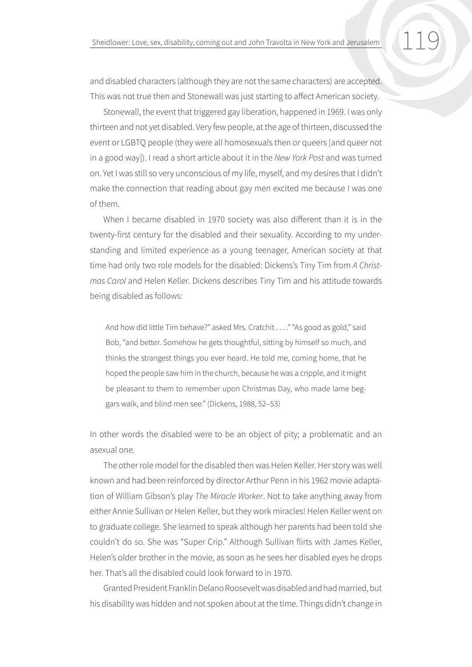and disabled characters (although they are not the same characters) are accepted. This was not true then and Stonewall was just starting to affect American society.

Stonewall, the event that triggered gay liberation, happened in 1969. I was only thirteen and not yet disabled. Very few people, at the age of thirteen, discussed the event or LGBTQ people (they were all homosexuals then or queers [and queer not in a good way]). I read a short article about it in the *New York Post* and was turned on. Yet I was still so very unconscious of my life, myself, and my desires that I didn't make the connection that reading about gay men excited me because I was one of them.

When I became disabled in 1970 society was also different than it is in the twenty-first century for the disabled and their sexuality. According to my understanding and limited experience as a young teenager, American society at that time had only two role models for the disabled: Dickens's Tiny Tim from *A Christmas Carol* and Helen Keller. Dickens describes Tiny Tim and his attitude towards being disabled as follows:

And how did little Tim behave?" asked Mrs. Cratchit . . . . "As good as gold," said Bob, "and better. Somehow he gets thoughtful, sitting by himself so much, and thinks the strangest things you ever heard. He told me, coming home, that he hoped the people saw him in the church, because he was a cripple, and it might be pleasant to them to remember upon Christmas Day, who made lame beggars walk, and blind men see." (Dickens, 1988, 52–53)

In other words the disabled were to be an object of pity; a problematic and an asexual one.

The other role model for the disabled then was Helen Keller. Her story was well known and had been reinforced by director Arthur Penn in his 1962 movie adaptation of William Gibson's play *The Miracle Worker*. Not to take anything away from either Annie Sullivan or Helen Keller, but they work miracles! Helen Keller went on to graduate college. She learned to speak although her parents had been told she couldn't do so. She was "Super Crip." Although Sullivan flirts with James Keller, Helen's older brother in the movie, as soon as he sees her disabled eyes he drops her. That's all the disabled could look forward to in 1970.

Granted President Franklin Delano Roosevelt was disabled and had married, but his disability was hidden and not spoken about at the time. Things didn't change in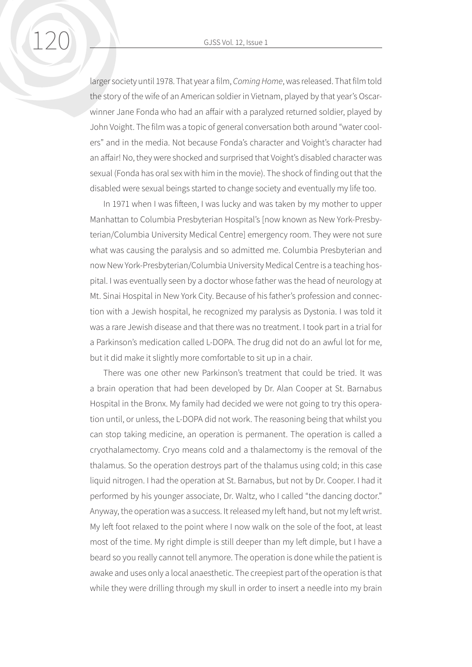120 GJSS Vol. 12, Issue 1

larger society until 1978. That year a film, *Coming Home*, was released. That film told the story of the wife of an American soldier in Vietnam, played by that year's Oscarwinner Jane Fonda who had an affair with a paralyzed returned soldier, played by John Voight. The film was a topic of general conversation both around "water coolers" and in the media. Not because Fonda's character and Voight's character had an affair! No, they were shocked and surprised that Voight's disabled character was sexual (Fonda has oral sex with him in the movie). The shock of finding out that the disabled were sexual beings started to change society and eventually my life too.

In 1971 when I was fifteen, I was lucky and was taken by my mother to upper Manhattan to Columbia Presbyterian Hospital's [now known as New York-Presbyterian/Columbia University Medical Centre] emergency room. They were not sure what was causing the paralysis and so admitted me. Columbia Presbyterian and now New York-Presbyterian/Columbia University Medical Centre is a teaching hospital. I was eventually seen by a doctor whose father was the head of neurology at Mt. Sinai Hospital in New York City. Because of his father's profession and connection with a Jewish hospital, he recognized my paralysis as Dystonia. I was told it was a rare Jewish disease and that there was no treatment. I took part in a trial for a Parkinson's medication called L-DOPA. The drug did not do an awful lot for me, but it did make it slightly more comfortable to sit up in a chair.

There was one other new Parkinson's treatment that could be tried. It was a brain operation that had been developed by Dr. Alan Cooper at St. Barnabus Hospital in the Bronx. My family had decided we were not going to try this operation until, or unless, the L-DOPA did not work. The reasoning being that whilst you can stop taking medicine, an operation is permanent. The operation is called a cryothalamectomy. Cryo means cold and a thalamectomy is the removal of the thalamus. So the operation destroys part of the thalamus using cold; in this case liquid nitrogen. I had the operation at St. Barnabus, but not by Dr. Cooper. I had it performed by his younger associate, Dr. Waltz, who I called "the dancing doctor." Anyway, the operation was a success. It released my left hand, but not my left wrist. My left foot relaxed to the point where I now walk on the sole of the foot, at least most of the time. My right dimple is still deeper than my left dimple, but I have a beard so you really cannot tell anymore. The operation is done while the patient is awake and uses only a local anaesthetic. The creepiest part of the operation is that while they were drilling through my skull in order to insert a needle into my brain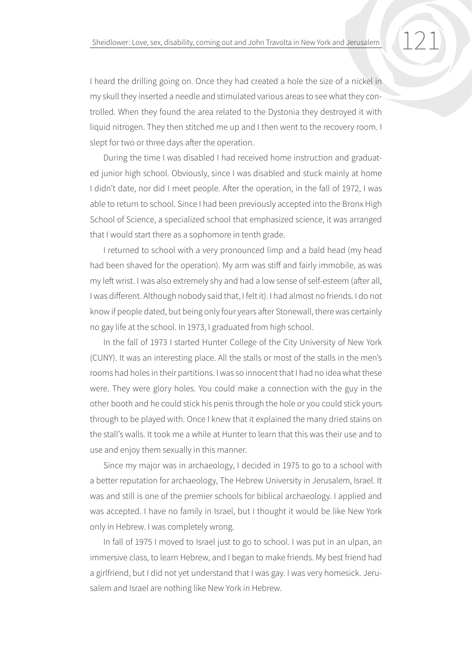I heard the drilling going on. Once they had created a hole the size of a nickel in my skull they inserted a needle and stimulated various areas to see what they controlled. When they found the area related to the Dystonia they destroyed it with liquid nitrogen. They then stitched me up and I then went to the recovery room. I slept for two or three days after the operation.

During the time I was disabled I had received home instruction and graduated junior high school. Obviously, since I was disabled and stuck mainly at home I didn't date, nor did I meet people. After the operation, in the fall of 1972, I was able to return to school. Since I had been previously accepted into the Bronx High School of Science, a specialized school that emphasized science, it was arranged that I would start there as a sophomore in tenth grade.

I returned to school with a very pronounced limp and a bald head (my head had been shaved for the operation). My arm was stiff and fairly immobile, as was my left wrist. I was also extremely shy and had a low sense of self-esteem (after all, I was different. Although nobody said that, I felt it). I had almost no friends. I do not know if people dated, but being only four years after Stonewall, there was certainly no gay life at the school. In 1973, I graduated from high school.

In the fall of 1973 I started Hunter College of the City University of New York (CUNY). It was an interesting place. All the stalls or most of the stalls in the men's rooms had holes in their partitions. I was so innocent that I had no idea what these were. They were glory holes. You could make a connection with the guy in the other booth and he could stick his penis through the hole or you could stick yours through to be played with. Once I knew that it explained the many dried stains on the stall's walls. It took me a while at Hunter to learn that this was their use and to use and enjoy them sexually in this manner.

Since my major was in archaeology, I decided in 1975 to go to a school with a better reputation for archaeology, The Hebrew University in Jerusalem, Israel. It was and still is one of the premier schools for biblical archaeology. I applied and was accepted. I have no family in Israel, but I thought it would be like New York only in Hebrew. I was completely wrong.

In fall of 1975 I moved to Israel just to go to school. I was put in an ulpan, an immersive class, to learn Hebrew, and I began to make friends. My best friend had a girlfriend, but I did not yet understand that I was gay. I was very homesick. Jerusalem and Israel are nothing like New York in Hebrew.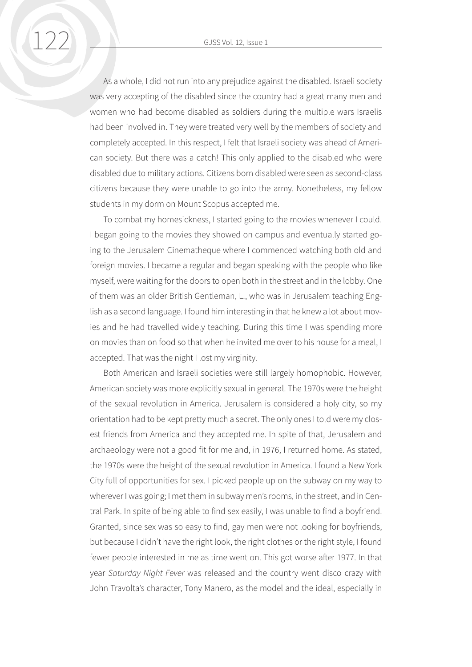122 GJSS Vol. 12, Issue 1

As a whole, I did not run into any prejudice against the disabled. Israeli society was very accepting of the disabled since the country had a great many men and women who had become disabled as soldiers during the multiple wars Israelis had been involved in. They were treated very well by the members of society and completely accepted. In this respect, I felt that Israeli society was ahead of American society. But there was a catch! This only applied to the disabled who were disabled due to military actions. Citizens born disabled were seen as second-class citizens because they were unable to go into the army. Nonetheless, my fellow students in my dorm on Mount Scopus accepted me.

To combat my homesickness, I started going to the movies whenever I could. I began going to the movies they showed on campus and eventually started going to the Jerusalem Cinematheque where I commenced watching both old and foreign movies. I became a regular and began speaking with the people who like myself, were waiting for the doors to open both in the street and in the lobby. One of them was an older British Gentleman, L., who was in Jerusalem teaching English as a second language. I found him interesting in that he knew a lot about movies and he had travelled widely teaching. During this time I was spending more on movies than on food so that when he invited me over to his house for a meal, I accepted. That was the night I lost my virginity.

Both American and Israeli societies were still largely homophobic. However, American society was more explicitly sexual in general. The 1970s were the height of the sexual revolution in America. Jerusalem is considered a holy city, so my orientation had to be kept pretty much a secret. The only ones I told were my closest friends from America and they accepted me. In spite of that, Jerusalem and archaeology were not a good fit for me and, in 1976, I returned home. As stated, the 1970s were the height of the sexual revolution in America. I found a New York City full of opportunities for sex. I picked people up on the subway on my way to wherever I was going; I met them in subway men's rooms, in the street, and in Central Park. In spite of being able to find sex easily, I was unable to find a boyfriend. Granted, since sex was so easy to find, gay men were not looking for boyfriends, but because I didn't have the right look, the right clothes or the right style, I found fewer people interested in me as time went on. This got worse after 1977. In that year *Saturday Night Fever* was released and the country went disco crazy with John Travolta's character, Tony Manero, as the model and the ideal, especially in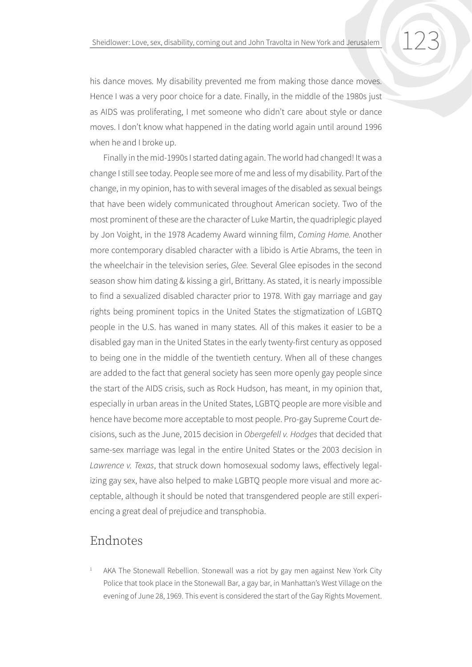his dance moves. My disability prevented me from making those dance moves. Hence I was a very poor choice for a date. Finally, in the middle of the 1980s just as AIDS was proliferating, I met someone who didn't care about style or dance moves. I don't know what happened in the dating world again until around 1996 when he and I broke up.

Finally in the mid-1990s I started dating again. The world had changed! It was a change I still see today. People see more of me and less of my disability. Part of the change, in my opinion, has to with several images of the disabled as sexual beings that have been widely communicated throughout American society. Two of the most prominent of these are the character of Luke Martin, the quadriplegic played by Jon Voight, in the 1978 Academy Award winning film, *Coming Home.* Another more contemporary disabled character with a libido is Artie Abrams, the teen in the wheelchair in the television series, *Glee.* Several Glee episodes in the second season show him dating & kissing a girl, Brittany. As stated, it is nearly impossible to find a sexualized disabled character prior to 1978. With gay marriage and gay rights being prominent topics in the United States the stigmatization of LGBTQ people in the U.S. has waned in many states. All of this makes it easier to be a disabled gay man in the United States in the early twenty-first century as opposed to being one in the middle of the twentieth century. When all of these changes are added to the fact that general society has seen more openly gay people since the start of the AIDS crisis, such as Rock Hudson, has meant, in my opinion that, especially in urban areas in the United States, LGBTQ people are more visible and hence have become more acceptable to most people. Pro-gay Supreme Court decisions, such as the June, 2015 decision in *Obergefell v. Hodges* that decided that same-sex marriage was legal in the entire United States or the 2003 decision in *Lawrence v. Texas*, that struck down homosexual sodomy laws, effectively legalizing gay sex, have also helped to make LGBTQ people more visual and more acceptable, although it should be noted that transgendered people are still experiencing a great deal of prejudice and transphobia.

## Endnotes

AKA The Stonewall Rebellion. Stonewall was a riot by gay men against New York City Police that took place in the Stonewall Bar, a gay bar, in Manhattan's West Village on the evening of June 28, 1969. This event is considered the start of the Gay Rights Movement.